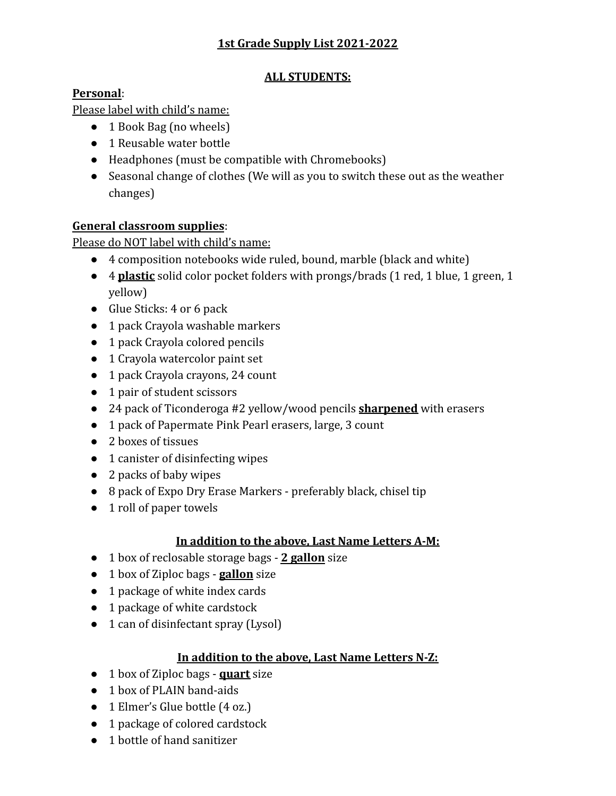# **1st Grade Supply List 2021-2022**

### **ALL STUDENTS:**

## **Personal**:

Please label with child's name:

- 1 Book Bag (no wheels)
- 1 Reusable water bottle
- Headphones (must be compatible with Chromebooks)
- Seasonal change of clothes (We will as you to switch these out as the weather changes)

## **General classroom supplies**:

Please do NOT label with child's name:

- 4 composition notebooks wide ruled, bound, marble (black and white)
- 4 **plastic** solid color pocket folders with prongs/brads (1 red, 1 blue, 1 green, 1 yellow)
- Glue Sticks: 4 or 6 pack
- 1 pack Crayola washable markers
- 1 pack Crayola colored pencils
- 1 Crayola watercolor paint set
- 1 pack Crayola crayons, 24 count
- 1 pair of student scissors
- 24 pack of Ticonderoga #2 yellow/wood pencils **sharpened** with erasers
- 1 pack of Papermate Pink Pearl erasers, large, 3 count
- 2 boxes of tissues
- 1 canister of disinfecting wipes
- 2 packs of baby wipes
- 8 pack of Expo Dry Erase Markers preferably black, chisel tip
- 1 roll of paper towels

#### **In addition to the above, Last Name Letters A-M:**

- 1 box of reclosable storage bags **2 gallon** size
- 1 box of Ziploc bags **gallon** size
- 1 package of white index cards
- 1 package of white cardstock
- 1 can of disinfectant spray (Lysol)

#### **In addition to the above, Last Name Letters N-Z:**

- 1 box of Ziploc bags **quart** size
- 1 box of PLAIN band-aids
- 1 Elmer's Glue bottle (4 oz.)
- 1 package of colored cardstock
- 1 bottle of hand sanitizer